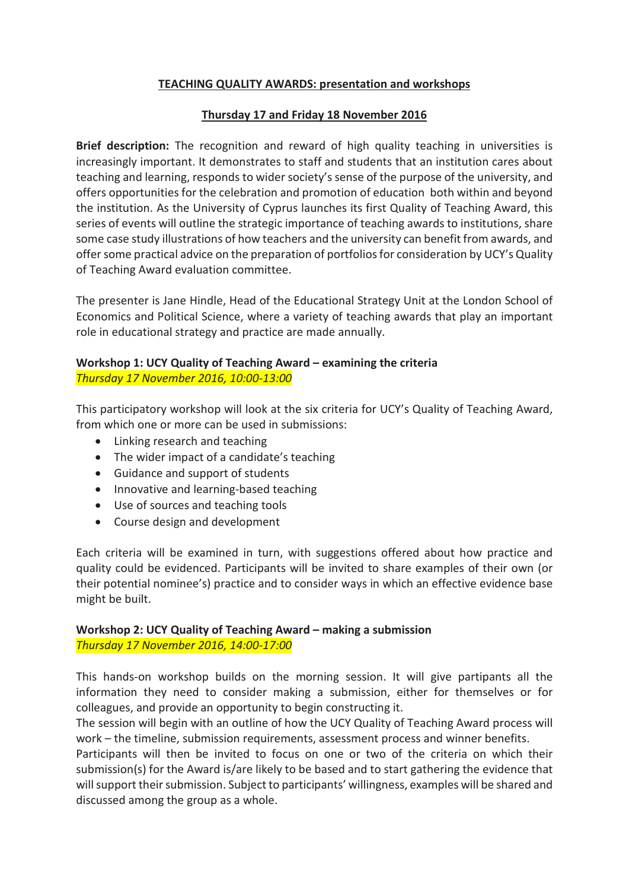# **TEACHING QUALITY AWARDS: presentation and workshops**

# **Thursday 17 and Friday 18 November 2016**

**Brief description:** The recognition and reward of high quality teaching in universities is increasingly important. It demonstrates to staff and students that an institution cares about teaching and learning, responds to wider society's sense of the purpose of the university, and offers opportunities for the celebration and promotion of education both within and beyond the institution. As the University of Cyprus launches its first Quality of Teaching Award, this series of events will outline the strategic importance of teaching awards to institutions, share some case study illustrations of how teachers and the university can benefit from awards, and offer some practical advice on the preparation of portfolios for consideration by UCY's Quality of Teaching Award evaluation committee.

The presenter is Jane Hindle, Head of the Educational Strategy Unit at the London School of Economics and Political Science, where a variety of teaching awards that play an important role in educational strategy and practice are made annually.

#### **Workshop 1: UCY Quality of Teaching Award – examining the criteria** *Thursday 17 November 2016, 10:00-13:00*

This participatory workshop will look at the six criteria for UCY's Quality of Teaching Award, from which one or more can be used in submissions:

- Linking research and teaching
- The wider impact of a candidate's teaching
- Guidance and support of students
- Innovative and learning-based teaching
- Use of sources and teaching tools
- Course design and development

Each criteria will be examined in turn, with suggestions offered about how practice and quality could be evidenced. Participants will be invited to share examples of their own (or their potential nominee's) practice and to consider ways in which an effective evidence base might be built.

### **Workshop 2: UCY Quality of Teaching Award – making a submission** *Thursday 17 November 2016, 14:00-17:00*

This hands-on workshop builds on the morning session. It will give partipants all the information they need to consider making a submission, either for themselves or for colleagues, and provide an opportunity to begin constructing it.

The session will begin with an outline of how the UCY Quality of Teaching Award process will work – the timeline, submission requirements, assessment process and winner benefits.

Participants will then be invited to focus on one or two of the criteria on which their submission(s) for the Award is/are likely to be based and to start gathering the evidence that will support their submission. Subject to participants' willingness, examples will be shared and discussed among the group as a whole.